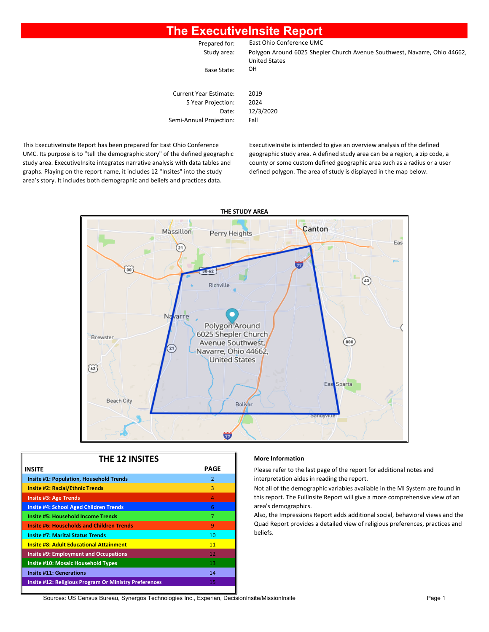### **The ExecutiveInsite Report**

| Prepared for:                                | East Ohio Conference UMC                                                                          |
|----------------------------------------------|---------------------------------------------------------------------------------------------------|
| Study area:                                  | Polygon Around 6025 Shepler Church Avenue Southwest, Navarre, Ohio 44662,<br><b>United States</b> |
| Base State:                                  | OН                                                                                                |
| Current Year Estimate:<br>5 Year Projection: | 2019<br>2024                                                                                      |

Date: 12/3/2020 Semi-Annual Projection: Fall

This ExecutiveInsite Report has been prepared for East Ohio Conference UMC. Its purpose is to "tell the demographic story" of the defined geographic study area. ExecutiveInsite integrates narrative analysis with data tables and graphs. Playing on the report name, it includes 12 "Insites" into the study area's story. It includes both demographic and beliefs and practices data.

ExecutiveInsite is intended to give an overview analysis of the defined geographic study area. A defined study area can be a region, a zip code, a county or some custom defined geographic area such as a radius or a user defined polygon. The area of study is displayed in the map below.



| <b>THE 12 INSITES</b>                                        |                |  |  |  |  |  |  |
|--------------------------------------------------------------|----------------|--|--|--|--|--|--|
| <b>INSITE</b>                                                | PAGE           |  |  |  |  |  |  |
| <b>Insite #1: Population, Household Trends</b>               | $\overline{2}$ |  |  |  |  |  |  |
| <b>Insite #2: Racial/Ethnic Trends</b>                       | 3              |  |  |  |  |  |  |
| <b>Insite #3: Age Trends</b>                                 | $\overline{a}$ |  |  |  |  |  |  |
| <b>Insite #4: School Aged Children Trends</b>                | 6              |  |  |  |  |  |  |
| <b>Insite #5: Household Income Trends</b>                    | 7              |  |  |  |  |  |  |
| <b>Insite #6: Households and Children Trends</b>             | 9              |  |  |  |  |  |  |
| <b>Insite #7: Marital Status Trends</b>                      | 10             |  |  |  |  |  |  |
| <b>Insite #8: Adult Educational Attainment</b>               | 11             |  |  |  |  |  |  |
| <b>Insite #9: Employment and Occupations</b>                 | 12             |  |  |  |  |  |  |
| <b>Insite #10: Mosaic Household Types</b>                    | 13             |  |  |  |  |  |  |
| <b>Insite #11: Generations</b>                               | 14             |  |  |  |  |  |  |
| <b>Insite #12: Religious Program Or Ministry Preferences</b> | 15             |  |  |  |  |  |  |
|                                                              |                |  |  |  |  |  |  |

#### **More Information**

Please refer to the last page of the report for additional notes and **Interpretation aides in reading the report.** 

Not all of the demographic variables available in the MI System are found in this report. The FullInsite Report will give a more comprehensive view of an area's demographics.

Also, the Impressions Report adds additional social, behavioral views and the Quad Report provides a detailed view of religious preferences, practices and beliefs.

Sources: US Census Bureau, Synergos Technologies Inc., Experian, DecisionInsite/MissionInsite Page 1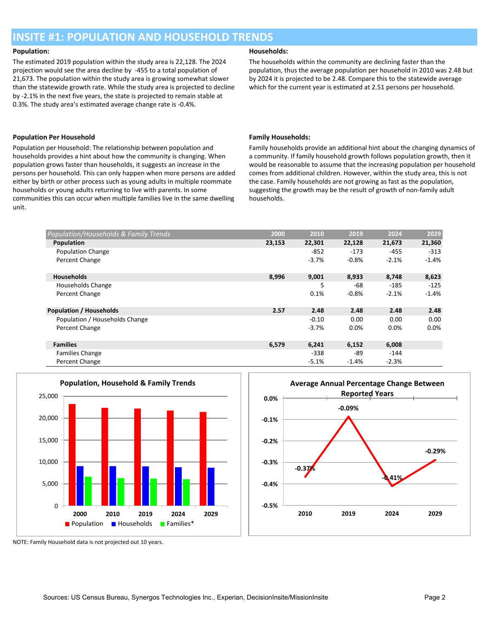### **INSITE #1: POPULATION AND HOUSEHOLD TRENDS**

The estimated 2019 population within the study area is 22,128. The 2024 projection would see the area decline by -455 to a total population of 21,673. The population within the study area is growing somewhat slower than the statewide growth rate. While the study area is projected to decline by -2.1% in the next five years, the state is projected to remain stable at 0.3%. The study area's estimated average change rate is -0.4%.

#### **Population Per Household Family Households:**

Population per Household: The relationship between population and households provides a hint about how the community is changing. When population grows faster than households, it suggests an increase in the persons per household. This can only happen when more persons are added either by birth or other process such as young adults in multiple roommate households or young adults returning to live with parents. In some communities this can occur when multiple families live in the same dwelling unit.

#### **Population: Households:**

The households within the community are declining faster than the population, thus the average population per household in 2010 was 2.48 but by 2024 it is projected to be 2.48. Compare this to the statewide average which for the current year is estimated at 2.51 persons per household.

Family households provide an additional hint about the changing dynamics of a community. If family household growth follows population growth, then it would be reasonable to assume that the increasing population per household comes from additional children. However, within the study area, this is not the case. Family households are not growing as fast as the population, suggesting the growth may be the result of growth of non-family adult households.

| Population/Households & Family Trends | 2000   | 2010    | 2019    | 2024    | 2029    |
|---------------------------------------|--------|---------|---------|---------|---------|
| Population                            | 23,153 | 22,301  | 22,128  | 21,673  | 21,360  |
| <b>Population Change</b>              |        | -852    | -173    | $-455$  | $-313$  |
| Percent Change                        |        | $-3.7%$ | $-0.8%$ | $-2.1%$ | $-1.4%$ |
| <b>Households</b>                     | 8,996  | 9,001   | 8,933   | 8,748   | 8,623   |
| Households Change                     |        | 5       | -68     | $-185$  | $-125$  |
| Percent Change                        |        | 0.1%    | $-0.8%$ | $-2.1%$ | $-1.4%$ |
| <b>Population / Households</b>        | 2.57   | 2.48    | 2.48    | 2.48    | 2.48    |
| Population / Households Change        |        | $-0.10$ | 0.00    | 0.00    | 0.00    |
| Percent Change                        |        | $-3.7%$ | 0.0%    | 0.0%    | 0.0%    |
| <b>Families</b>                       | 6,579  | 6,241   | 6,152   | 6,008   |         |
| <b>Families Change</b>                |        | -338    | -89     | $-144$  |         |
| Percent Change                        |        | $-5.1%$ | $-1.4%$ | $-2.3%$ |         |





NOTE: Family Household data is not projected out 10 years.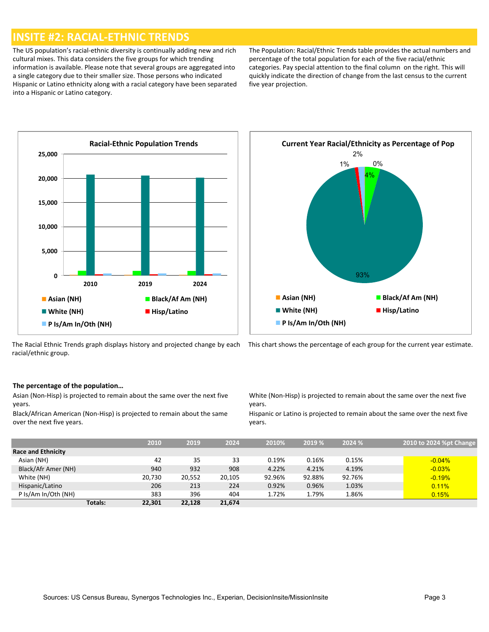### **INSITE #2: RACIAL-ETHNIC TRENDS**

The US population's racial-ethnic diversity is continually adding new and rich cultural mixes. This data considers the five groups for which trending information is available. Please note that several groups are aggregated into a single category due to their smaller size. Those persons who indicated Hispanic or Latino ethnicity along with a racial category have been separated into a Hispanic or Latino category.

The Population: Racial/Ethnic Trends table provides the actual numbers and percentage of the total population for each of the five racial/ethnic categories. Pay special attention to the final column on the right. This will quickly indicate the direction of change from the last census to the current five year projection.







#### **The percentage of the population…**

Asian (Non-Hisp) is projected to remain about the same over the next five years.

Black/African American (Non-Hisp) is projected to remain about the same over the next five years.

White (Non-Hisp) is projected to remain about the same over the next five years.

Hispanic or Latino is projected to remain about the same over the next five years.

|                           |                | 2010   | 2019   | 2024   | 2010%  | 2019 % | 2024 % | 2010 to 2024 %pt Change |
|---------------------------|----------------|--------|--------|--------|--------|--------|--------|-------------------------|
| <b>Race and Ethnicity</b> |                |        |        |        |        |        |        |                         |
| Asian (NH)                |                | 42     | 35     | 33     | 0.19%  | 0.16%  | 0.15%  | $-0.04%$                |
| Black/Afr Amer (NH)       |                | 940    | 932    | 908    | 4.22%  | 4.21%  | 4.19%  | $-0.03%$                |
| White (NH)                |                | 20.730 | 20,552 | 20,105 | 92.96% | 92.88% | 92.76% | $-0.19%$                |
| Hispanic/Latino           |                | 206    | 213    | 224    | 0.92%  | 0.96%  | 1.03%  | 0.11%                   |
| P Is/Am In/Oth (NH)       |                | 383    | 396    | 404    | 1.72%  | 1.79%  | 1.86%  | 0.15%                   |
|                           | <b>Totals:</b> | 22,301 | 22.128 | 21,674 |        |        |        |                         |

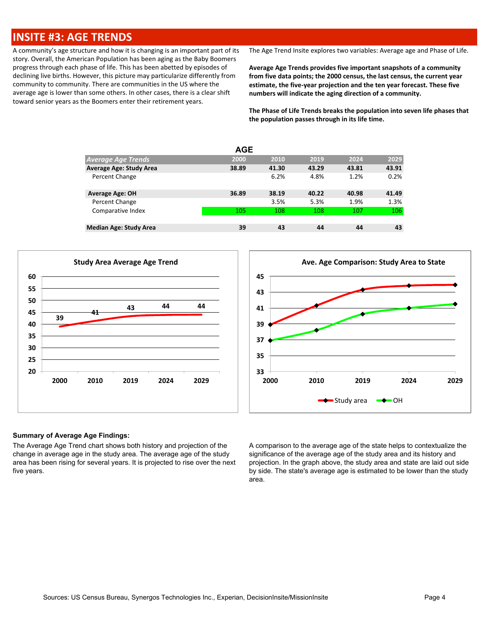### **INSITE #3: AGE TRENDS**

A community's age structure and how it is changing is an important part of its story. Overall, the American Population has been aging as the Baby Boomers progress through each phase of life. This has been abetted by episodes of declining live births. However, this picture may particularize differently from community to community. There are communities in the US where the average age is lower than some others. In other cases, there is a clear shift toward senior years as the Boomers enter their retirement years.

The Age Trend Insite explores two variables: Average age and Phase of Life.

**Average Age Trends provides five important snapshots of a community from five data points; the 2000 census, the last census, the current year estimate, the five-year projection and the ten year forecast. These five numbers will indicate the aging direction of a community.**

**The Phase of Life Trends breaks the population into seven life phases that the population passes through in its life time.**

|                               | <b>AGE</b> |       |       |       |       |
|-------------------------------|------------|-------|-------|-------|-------|
| <b>Average Age Trends</b>     | 2000       | 2010  | 2019  | 2024  | 2029  |
| Average Age: Study Area       | 38.89      | 41.30 | 43.29 | 43.81 | 43.91 |
| Percent Change                |            | 6.2%  | 4.8%  | 1.2%  | 0.2%  |
| <b>Average Age: OH</b>        | 36.89      | 38.19 | 40.22 | 40.98 | 41.49 |
| Percent Change                |            | 3.5%  | 5.3%  | 1.9%  | 1.3%  |
| Comparative Index             | 105        | 108   | 108   | 107   | 106   |
| <b>Median Age: Study Area</b> | 39         | 43    | 44    | 44    | 43    |





#### **Summary of Average Age Findings:**

The Average Age Trend chart shows both history and projection of the change in average age in the study area. The average age of the study area has been rising for several years. It is projected to rise over the next five years.

A comparison to the average age of the state helps to contextualize the significance of the average age of the study area and its history and projection. In the graph above, the study area and state are laid out side by side. The state's average age is estimated to be lower than the study area.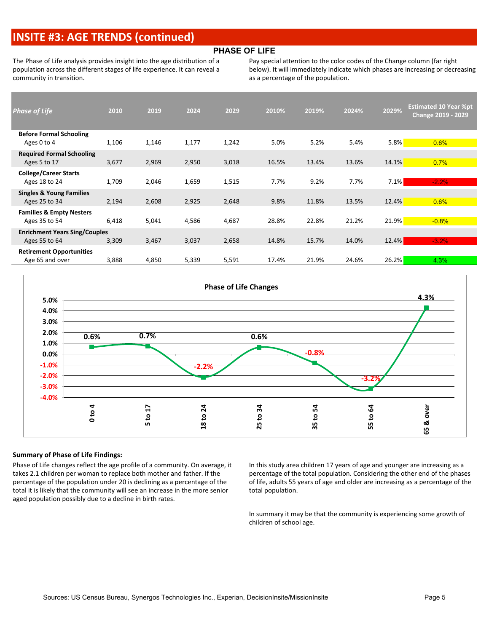### **INSITE #3: AGE TRENDS (continued)**

#### **PHASE OF LIFE**

The Phase of Life analysis provides insight into the age distribution of a population across the different stages of life experience. It can reveal a community in transition.

Pay special attention to the color codes of the Change column (far right below). It will immediately indicate which phases are increasing or decreasing as a percentage of the population.

| <b>Phase of Life</b>                 | 2010  | 2019  | 2024  | 2029  | 2010% | 2019% | 2024% | 2029%   | <b>Estimated 10 Year %pt</b><br><b>Change 2019 - 2029</b> |
|--------------------------------------|-------|-------|-------|-------|-------|-------|-------|---------|-----------------------------------------------------------|
| <b>Before Formal Schooling</b>       |       |       |       |       |       |       |       |         |                                                           |
| Ages 0 to 4                          | 1,106 | 1,146 | 1,177 | 1,242 | 5.0%  | 5.2%  | 5.4%  | 5.8%    | 0.6%                                                      |
| <b>Required Formal Schooling</b>     |       |       |       |       |       |       |       |         |                                                           |
| Ages 5 to 17                         | 3,677 | 2,969 | 2,950 | 3,018 | 16.5% | 13.4% | 13.6% | 14.1%   | 0.7%                                                      |
| <b>College/Career Starts</b>         |       |       |       |       |       |       |       |         |                                                           |
| Ages 18 to 24                        | 1,709 | 2,046 | 1,659 | 1,515 | 7.7%  | 9.2%  | 7.7%  | $7.1\%$ | $-2.2%$                                                   |
| <b>Singles &amp; Young Families</b>  |       |       |       |       |       |       |       |         |                                                           |
| Ages 25 to 34                        | 2,194 | 2,608 | 2,925 | 2,648 | 9.8%  | 11.8% | 13.5% | 12.4%   | 0.6%                                                      |
| <b>Families &amp; Empty Nesters</b>  |       |       |       |       |       |       |       |         |                                                           |
| Ages 35 to 54                        | 6,418 | 5,041 | 4,586 | 4,687 | 28.8% | 22.8% | 21.2% | 21.9%   | $-0.8%$                                                   |
| <b>Enrichment Years Sing/Couples</b> |       |       |       |       |       |       |       |         |                                                           |
| Ages 55 to 64                        | 3,309 | 3,467 | 3,037 | 2,658 | 14.8% | 15.7% | 14.0% | 12.4%   | $-3.2%$                                                   |
| <b>Retirement Opportunities</b>      |       |       |       |       |       |       |       |         |                                                           |
| Age 65 and over                      | 3,888 | 4,850 | 5,339 | 5,591 | 17.4% | 21.9% | 24.6% | 26.2%   | 4.3%                                                      |



#### **Summary of Phase of Life Findings:**

Phase of Life changes reflect the age profile of a community. On average, it takes 2.1 children per woman to replace both mother and father. If the percentage of the population under 20 is declining as a percentage of the total it is likely that the community will see an increase in the more senior aged population possibly due to a decline in birth rates.

In this study area children 17 years of age and younger are increasing as a percentage of the total population. Considering the other end of the phases of life, adults 55 years of age and older are increasing as a percentage of the total population.

In summary it may be that the community is experiencing some growth of children of school age.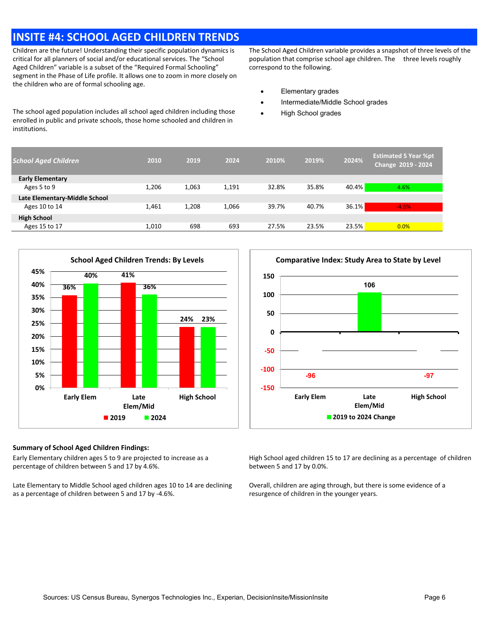## **INSITE #4: SCHOOL AGED CHILDREN TRENDS**

Children are the future! Understanding their specific population dynamics is critical for all planners of social and/or educational services. The "School Aged Children" variable is a subset of the "Required Formal Schooling" segment in the Phase of Life profile. It allows one to zoom in more closely on the children who are of formal schooling age.

The school aged population includes all school aged children including those enrolled in public and private schools, those home schooled and children in institutions.

The School Aged Children variable provides a snapshot of three levels of the population that comprise school age children. The three levels roughly correspond to the following.

- · Elementary grades
- · Intermediate/Middle School grades
- **High School grades**

| <b>School Aged Children</b>   | 2010  | 2019  | 2024  | 2010% | 2019% | 2024% | <b>Estimated 5 Year %pt</b><br>Change 2019 - 2024 |
|-------------------------------|-------|-------|-------|-------|-------|-------|---------------------------------------------------|
| <b>Early Elementary</b>       |       |       |       |       |       |       |                                                   |
| Ages 5 to 9                   | 1.206 | 1,063 | 1.191 | 32.8% | 35.8% | 40.4% | 4.6%                                              |
| Late Elementary-Middle School |       |       |       |       |       |       |                                                   |
| Ages 10 to 14                 | 1,461 | 1,208 | 1,066 | 39.7% | 40.7% | 36.1% | $-4.6%$                                           |
| <b>High School</b>            |       |       |       |       |       |       |                                                   |
| Ages 15 to 17                 | 1,010 | 698   | 693   | 27.5% | 23.5% | 23.5% | 0.0%                                              |
|                               |       |       |       |       |       |       |                                                   |



#### **Summary of School Aged Children Findings:**

Early Elementary children ages 5 to 9 are projected to increase as a percentage of children between 5 and 17 by 4.6%.

Late Elementary to Middle School aged children ages 10 to 14 are declining as a percentage of children between 5 and 17 by -4.6%.



High School aged children 15 to 17 are declining as a percentage of children between 5 and 17 by 0.0%.

Overall, children are aging through, but there is some evidence of a resurgence of children in the younger years.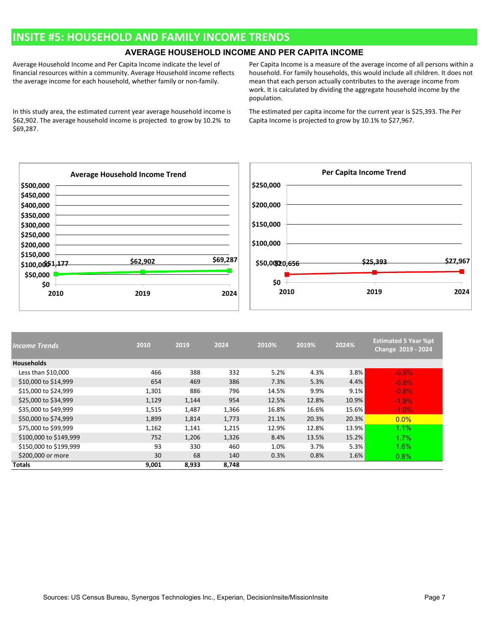### **INSITE #5: HOUSEHOLD AND FAMILY INCOME TRENDS**

### **AVERAGE HOUSEHOLD INCOME AND PER CAPITA INCOME**

Average Household Income and Per Capita Income indicate the level of financial resources within a community. Average Household income reflects the average income for each household, whether family or non-family.

In this study area, the estimated current year average household income is \$62,902. The average household income is projected to grow by 10.2% to \$69,287.

Per Capita Income is a measure of the average income of all persons within a household. For family households, this would include all children. It does not mean that each person actually contributes to the average income from work. It is calculated by dividing the aggregate household income by the population.

The estimated per capita income for the current year is \$25,393. The Per Capita Income is projected to grow by 10.1% to \$27,967.



| <b>Income Trends</b>   | 2010  | 2019  | 2024  | 2010% | 2019% | 2024% | <b>Estimated 5 Year %pt</b><br>Change 2019 - 2024 |
|------------------------|-------|-------|-------|-------|-------|-------|---------------------------------------------------|
| <b>Households</b>      |       |       |       |       |       |       |                                                   |
| Less than \$10,000     | 466   | 388   | 332   | 5.2%  | 4.3%  | 3.8%  | $-0.5\%$                                          |
| \$10,000 to \$14,999   | 654   | 469   | 386   | 7.3%  | 5.3%  | 4.4%  | $-0.8%$                                           |
| \$15,000 to \$24,999   | 1,301 | 886   | 796   | 14.5% | 9.9%  | 9.1%  | $-0.8%$                                           |
| \$25,000 to \$34,999   | 1,129 | 1,144 | 954   | 12.5% | 12.8% | 10.9% | $-1.9%$                                           |
| \$35,000 to \$49,999   | 1,515 | 1,487 | 1,366 | 16.8% | 16.6% | 15.6% | $-1.0\%$                                          |
| \$50,000 to \$74,999   | 1,899 | 1,814 | 1,773 | 21.1% | 20.3% | 20.3% | $0.0\%$                                           |
| \$75,000 to \$99,999   | 1,162 | 1,141 | 1,215 | 12.9% | 12.8% | 13.9% | 1.1%                                              |
| \$100,000 to \$149,999 | 752   | 1,206 | 1,326 | 8.4%  | 13.5% | 15.2% | 1.7%                                              |
| \$150,000 to \$199,999 | 93    | 330   | 460   | 1.0%  | 3.7%  | 5.3%  | 1.6%                                              |
| \$200,000 or more      | 30    | 68    | 140   | 0.3%  | 0.8%  | 1.6%  | 0.8%                                              |
| <b>Totals</b>          | 9,001 | 8,933 | 8,748 |       |       |       |                                                   |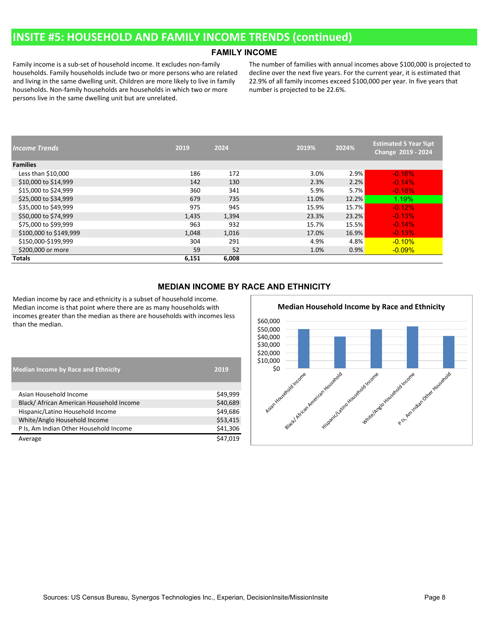### **INSITE #5: HOUSEHOLD AND FAMILY INCOME TRENDS (continued)**

#### **FAMILY INCOME**

Family income is a sub-set of household income. It excludes non-family households. Family households include two or more persons who are related and living in the same dwelling unit. Children are more likely to live in family households. Non-family households are households in which two or more persons live in the same dwelling unit but are unrelated.

The number of families with annual incomes above \$100,000 is projected to decline over the next five years. For the current year, it is estimated that 22.9% of all family incomes exceed \$100,000 per year. In five years that number is projected to be 22.6%.

| <b>Income Trends</b>   | 2019  | 2024  | 2019% | 2024% | <b>Estimated 5 Year %pt</b><br>Change 2019 - 2024 |
|------------------------|-------|-------|-------|-------|---------------------------------------------------|
| <b>Families</b>        |       |       |       |       |                                                   |
| Less than \$10,000     | 186   | 172   | 3.0%  | 2.9%  | $-0.16%$                                          |
| \$10,000 to \$14,999   | 142   | 130   | 2.3%  | 2.2%  | $-0.14%$                                          |
| \$15,000 to \$24,999   | 360   | 341   | 5.9%  | 5.7%  | $-0.18%$                                          |
| \$25,000 to \$34,999   | 679   | 735   | 11.0% | 12.2% | 1.19%                                             |
| \$35,000 to \$49,999   | 975   | 945   | 15.9% | 15.7% | $-0.12%$                                          |
| \$50,000 to \$74,999   | 1,435 | 1,394 | 23.3% | 23.2% | $-0.13%$                                          |
| \$75,000 to \$99,999   | 963   | 932   | 15.7% | 15.5% | $-0.14%$                                          |
| \$100,000 to \$149,999 | 1,048 | 1,016 | 17.0% | 16.9% | $-0.13%$                                          |
| \$150,000-\$199,999    | 304   | 291   | 4.9%  | 4.8%  | $-0.10\%$                                         |
| \$200,000 or more      | 59    | 52    | 1.0%  | 0.9%  | $-0.09\%$                                         |
| <b>Totals</b>          | 6,151 | 6,008 |       |       |                                                   |

#### **MEDIAN INCOME BY RACE AND ETHNICITY**

Median income by race and ethnicity is a subset of household income. Median income is that point where there are as many households with incomes greater than the median as there are households with incomes less than the median.

| <b>Median Income by Race and Ethnicity</b> | 2019     |
|--------------------------------------------|----------|
|                                            |          |
| Asian Household Income                     | \$49,999 |
| Black/ African American Household Income   | \$40,689 |
| Hispanic/Latino Household Income           | \$49,686 |
| White/Anglo Household Income               | \$53,415 |
| P Is, Am Indian Other Household Income     | \$41,306 |
| Average                                    | \$47,019 |

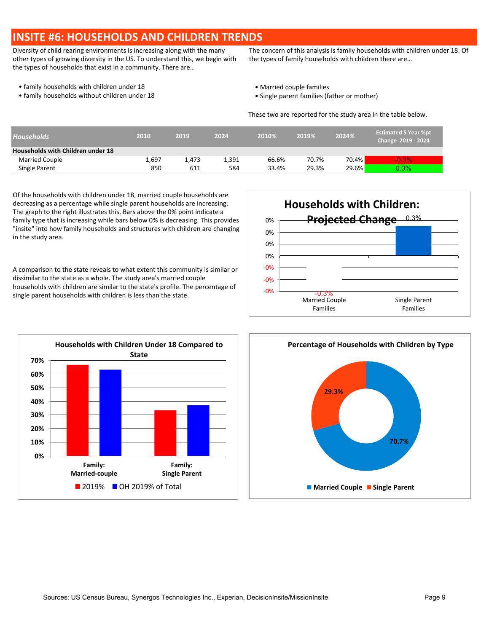### **INSITE #6: HOUSEHOLDS AND CHILDREN TRENDS**

Diversity of child rearing environments is increasing along with the many other types of growing diversity in the US. To understand this, we begin with the types of households that exist in a community. There are…

The concern of this analysis is family households with children under 18. Of the types of family households with children there are…

- family households with children under 18  **Married couple families** Married couple families
- family households without children under 18 **•** Single parent families (father or mother)
- -

These two are reported for the study area in the table below.

| <b>Households</b>                 | 2010  | 2019  | 2024  | 2010% | 2019% | 2024% | <b>Estimated 5 Year %pt</b><br>Change 2019 - 2024 |
|-----------------------------------|-------|-------|-------|-------|-------|-------|---------------------------------------------------|
| Households with Children under 18 |       |       |       |       |       |       |                                                   |
| <b>Married Couple</b>             | 1,697 | 1.473 | 1,391 | 66.6% | 70.7% | 70.4% | $-0.3%$                                           |
| Single Parent                     | 850   | 611   | 584   | 33.4% | 29.3% | 29.6% | $0.3\%$                                           |

Of the households with children under 18, married couple households are decreasing as a percentage while single parent households are increasing. The graph to the right illustrates this. Bars above the 0% point indicate a family type that is increasing while bars below 0% is decreasing. This provides "insite" into how family households and structures with children are changing in the study area.

A comparison to the state reveals to what extent this community is similar or dissimilar to the state as a whole. The study area's married couple households with children are similar to the state's profile. The percentage of single parent households with children is less than the state.  $\frac{-0.3\%}{2}$ 





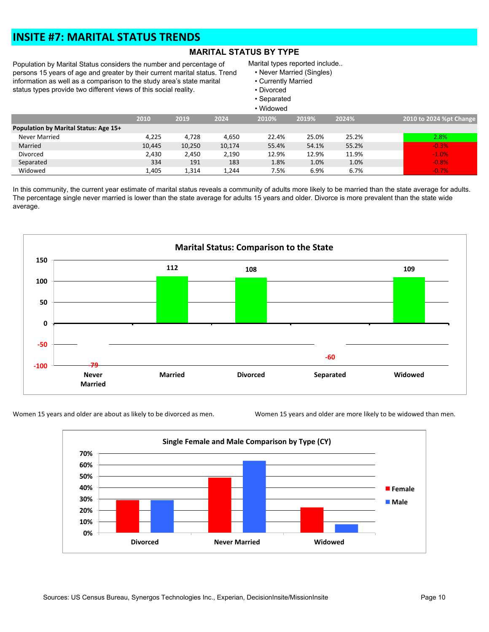### **INSITE #7: MARITAL STATUS TRENDS**

### **MARITAL STATUS BY TYPE**

Population by Marital Status considers the number and percentage of persons 15 years of age and greater by their current marital status. Trend information as well as a comparison to the study area's state marital status types provide two different views of this social reality.

Marital types reported include..

- Never Married (Singles)
- Currently Married
- Divorced
- Separated

|                                       | • Widowed |        |        |       |       |       |                         |  |  |  |  |  |
|---------------------------------------|-----------|--------|--------|-------|-------|-------|-------------------------|--|--|--|--|--|
|                                       | 2010      | 2019   | 2024   | 2010% | 2019% | 2024% | 2010 to 2024 %pt Change |  |  |  |  |  |
| Population by Marital Status: Age 15+ |           |        |        |       |       |       |                         |  |  |  |  |  |
| Never Married                         | 4.225     | 4.728  | 4,650  | 22.4% | 25.0% | 25.2% | 2.8%                    |  |  |  |  |  |
| Married                               | 10.445    | 10,250 | 10,174 | 55.4% | 54.1% | 55.2% | $-0.3%$                 |  |  |  |  |  |
| Divorced                              | 2,430     | 2.450  | 2.190  | 12.9% | 12.9% | 11.9% | $-1.0%$                 |  |  |  |  |  |
| Separated                             | 334       | 191    | 183    | 1.8%  | 1.0%  | 1.0%  | $-0.8%$                 |  |  |  |  |  |
| Widowed                               | 1,405     | 1,314  | 1,244  | 7.5%  | 6.9%  | 6.7%  | $-0.7%$                 |  |  |  |  |  |

In this community, the current year estimate of marital status reveals a community of adults more likely to be married than the state average for adults. The percentage single never married is lower than the state average for adults 15 years and older. Divorce is more prevalent than the state wide average.



Women 15 years and older are about as likely to be divorced as men. Women 15 years and older are more likely to be widowed than men.

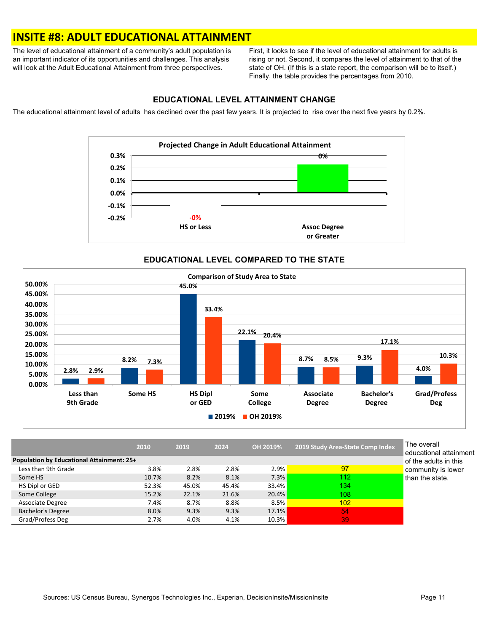### **INSITE #8: ADULT EDUCATIONAL ATTAINMENT**

The level of educational attainment of a community's adult population is an important indicator of its opportunities and challenges. This analysis will look at the Adult Educational Attainment from three perspectives.

First, it looks to see if the level of educational attainment for adults is rising or not. Second, it compares the level of attainment to that of the state of OH. (If this is a state report, the comparison will be to itself.) Finally, the table provides the percentages from 2010.

#### **EDUCATIONAL LEVEL ATTAINMENT CHANGE**

The educational attainment level of adults has declined over the past few years. It is projected to rise over the next five years by 0.2%.



### **EDUCATIONAL LEVEL COMPARED TO THE STATE**



|                                           | 2010  | 2019  | 2024  | OH 2019% | 2019 Study Area-State Comp Index | The overall<br>educational attai |
|-------------------------------------------|-------|-------|-------|----------|----------------------------------|----------------------------------|
| Population by Educational Attainment: 25+ |       |       |       |          |                                  | of the adults in the             |
| Less than 9th Grade                       | 3.8%  | 2.8%  | 2.8%  | 2.9%     | 97                               | community is lov                 |
| Some HS                                   | 10.7% | 8.2%  | 8.1%  | 7.3%     | 112                              | than the state.                  |
| HS Dipl or GED                            | 52.3% | 45.0% | 45.4% | 33.4%    | 134                              |                                  |
| Some College                              | 15.2% | 22.1% | 21.6% | 20.4%    | 108                              |                                  |
| <b>Associate Degree</b>                   | 7.4%  | 8.7%  | 8.8%  | 8.5%     | 102                              |                                  |
| <b>Bachelor's Degree</b>                  | 8.0%  | 9.3%  | 9.3%  | 17.1%    | 54                               |                                  |
| Grad/Profess Deg                          | 2.7%  | 4.0%  | 4.1%  | 10.3%    | 39                               |                                  |

nment his ver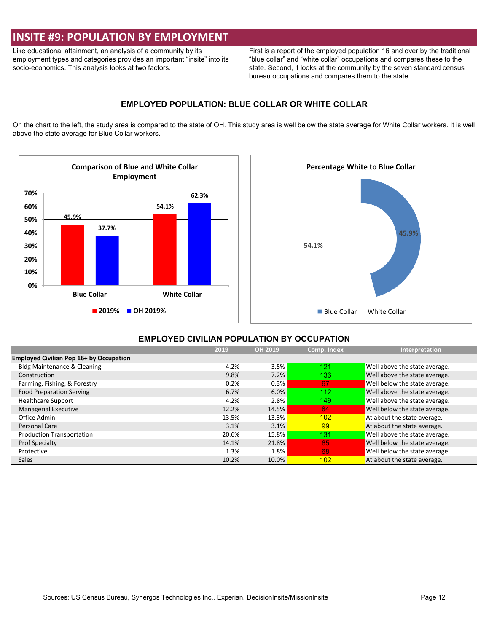### **INSITE #9: POPULATION BY EMPLOYMENT**

Like educational attainment, an analysis of a community by its employment types and categories provides an important "insite" into its socio-economics. This analysis looks at two factors.

First is a report of the employed population 16 and over by the traditional "blue collar" and "white collar" occupations and compares these to the state. Second, it looks at the community by the seven standard census bureau occupations and compares them to the state.

#### **EMPLOYED POPULATION: BLUE COLLAR OR WHITE COLLAR**

On the chart to the left, the study area is compared to the state of OH. This study area is well below the state average for White Collar workers. It is well above the state average for Blue Collar workers.





#### **EMPLOYED CIVILIAN POPULATION BY OCCUPATION**

|                                                | 2019  | <b>OH 2019</b> | Comp. Index | Interpretation                |
|------------------------------------------------|-------|----------------|-------------|-------------------------------|
| <b>Employed Civilian Pop 16+ by Occupation</b> |       |                |             |                               |
| <b>Bldg Maintenance &amp; Cleaning</b>         | 4.2%  | 3.5%           | 121         | Well above the state average. |
| Construction                                   | 9.8%  | 7.2%           | 136         | Well above the state average. |
| Farming, Fishing, & Forestry                   | 0.2%  | 0.3%           | 67          | Well below the state average. |
| <b>Food Preparation Serving</b>                | 6.7%  | 6.0%           | 112         | Well above the state average. |
| <b>Healthcare Support</b>                      | 4.2%  | 2.8%           | 149         | Well above the state average. |
| <b>Managerial Executive</b>                    | 12.2% | 14.5%          | 84          | Well below the state average. |
| Office Admin                                   | 13.5% | 13.3%          | 102         | At about the state average.   |
| Personal Care                                  | 3.1%  | 3.1%           | 99          | At about the state average.   |
| <b>Production Transportation</b>               | 20.6% | <b>15.8%</b>   | 131         | Well above the state average. |
| <b>Prof Specialty</b>                          | 14.1% | 21.8%          | 65          | Well below the state average. |
| Protective                                     | 1.3%  | 1.8%           | 68          | Well below the state average. |
| <b>Sales</b>                                   | 10.2% | 10.0%          | 102         | At about the state average.   |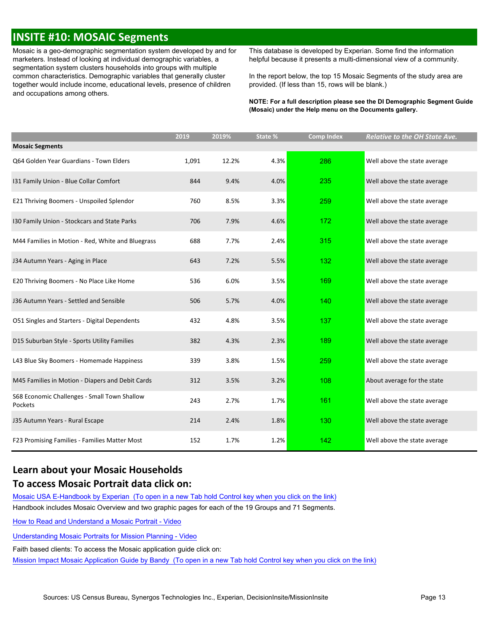## **INSITE #10: MOSAIC Segments**

Mosaic is a geo-demographic segmentation system developed by and for marketers. Instead of looking at individual demographic variables, a segmentation system clusters households into groups with multiple common characteristics. Demographic variables that generally cluster together would include income, educational levels, presence of children and occupations among others.

This database is developed by Experian. Some find the information helpful because it presents a multi-dimensional view of a community.

In the report below, the top 15 Mosaic Segments of the study area are provided. (If less than 15, rows will be blank.)

**NOTE: For a full description please see the DI Demographic Segment Guide (Mosaic) under the Help menu on the Documents gallery.**

|                                                         | 2019  | 2019% | State % | <b>Comp Index</b> | <b>Relative to the OH State Ave.</b> |
|---------------------------------------------------------|-------|-------|---------|-------------------|--------------------------------------|
| <b>Mosaic Segments</b>                                  |       |       |         |                   |                                      |
| Q64 Golden Year Guardians - Town Elders                 | 1,091 | 12.2% | 4.3%    | 286               | Well above the state average         |
| 131 Family Union - Blue Collar Comfort                  | 844   | 9.4%  | 4.0%    | 235               | Well above the state average         |
| E21 Thriving Boomers - Unspoiled Splendor               | 760   | 8.5%  | 3.3%    | 259               | Well above the state average         |
| I30 Family Union - Stockcars and State Parks            | 706   | 7.9%  | 4.6%    | 172               | Well above the state average         |
| M44 Families in Motion - Red, White and Bluegrass       | 688   | 7.7%  | 2.4%    | 315               | Well above the state average         |
| J34 Autumn Years - Aging in Place                       | 643   | 7.2%  | 5.5%    | 132               | Well above the state average         |
| E20 Thriving Boomers - No Place Like Home               | 536   | 6.0%  | 3.5%    | 169               | Well above the state average         |
| J36 Autumn Years - Settled and Sensible                 | 506   | 5.7%  | 4.0%    | 140               | Well above the state average         |
| O51 Singles and Starters - Digital Dependents           | 432   | 4.8%  | 3.5%    | 137               | Well above the state average         |
| D15 Suburban Style - Sports Utility Families            | 382   | 4.3%  | 2.3%    | 189               | Well above the state average         |
| L43 Blue Sky Boomers - Homemade Happiness               | 339   | 3.8%  | 1.5%    | 259               | Well above the state average         |
| M45 Families in Motion - Diapers and Debit Cards        | 312   | 3.5%  | 3.2%    | 108               | About average for the state          |
| S68 Economic Challenges - Small Town Shallow<br>Pockets | 243   | 2.7%  | 1.7%    | 161               | Well above the state average         |
| J35 Autumn Years - Rural Escape                         | 214   | 2.4%  | 1.8%    | 130               | Well above the state average         |
| F23 Promising Families - Families Matter Most           | 152   | 1.7%  | 1.2%    | 142               | Well above the state average         |

### **Learn about your Mosaic Households To access Mosaic Portrait data click on:**

Mosaic USA E-Handbook by [Experian \(To](https://s3-us-west-2.amazonaws.com/mi-docs/Mosaic+USA+E-Handbook.pdf) open in a new Tab hold Control key when you click on the link) Handbook includes Mosaic Overview and two graphic pages for each of the 19 Groups and 71 Segments.

How to Read and [Understand](https://s3-us-west-2.amazonaws.com/misupport/videos/NewUI/Mosaic+E-Handbook+How+to+Read+and+Understand+a+Mosaic+Portrait+w+Nar.mp4) a Mosaic Portrait - Video

[Understanding](https://s3-us-west-2.amazonaws.com/misupport/videos/NewUI/Mosaic+E-Handbook+Understanding+Mosaic+Portraits+for+Ministry+Planning+v2+w+Nar.mp4) Mosaic Portraits for Mission Planning - Video

Faith based clients: To access the Mosaic application guide click on:

Mission Impact Mosaic Application Guide by [Bandy \(To](http://missioninsite.com/missionimpact-guide/) open in a new Tab hold Control key when you click on the link)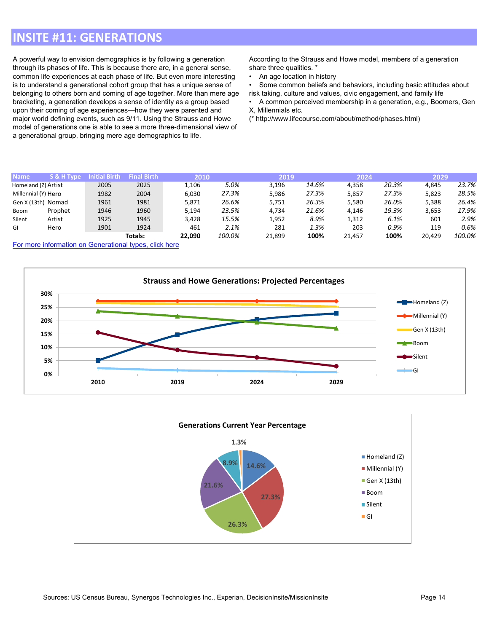## **INSITE #11: GENERATIONS**

A powerful way to envision demographics is by following a generation through its phases of life. This is because there are, in a general sense, common life experiences at each phase of life. But even more interesting is to understand a generational cohort group that has a unique sense of belonging to others born and coming of age together. More than mere age bracketing, a generation develops a sense of identity as a group based upon their coming of age experiences—how they were parented and major world defining events, such as 9/11. Using the Strauss and Howe model of generations one is able to see a more three-dimensional view of a generational group, bringing mere age demographics to life.

According to the Strauss and Howe model, members of a generation share three qualities. \*

• An age location in history

• Some common beliefs and behaviors, including basic attitudes about risk taking, culture and values, civic engagement, and family life

• A common perceived membership in a generation, e.g., Boomers, Gen X, Millennials etc.

(\* http://www.lifecourse.com/about/method/phases.html)

| <b>Name</b>         | S & H Type | Initial Birth | <b>Final Birth</b> | 2010   |        | 2019   |       | 2024   |       | 2029   |        |
|---------------------|------------|---------------|--------------------|--------|--------|--------|-------|--------|-------|--------|--------|
|                     |            |               |                    |        |        |        |       |        |       |        |        |
| Homeland (Z) Artist |            | 2005          | 2025               | 1,106  | 5.0%   | 3.196  | 14.6% | 4,358  | 20.3% | 4.845  | 23.7%  |
| Millennial (Y) Hero |            | 1982          | 2004               | 6.030  | 27.3%  | 5,986  | 27.3% | 5,857  | 27.3% | 5,823  | 28.5%  |
| Gen X (13th) Nomad  |            | 1961          | 1981               | 5,871  | 26.6%  | 5.751  | 26.3% | 5,580  | 26.0% | 5.388  | 26.4%  |
| Boom                | Prophet    | 1946          | 1960               | 5,194  | 23.5%  | 4.734  | 21.6% | 4,146  | 19.3% | 3,653  | 17.9%  |
| Silent              | Artist     | 1925          | 1945               | 3.428  | 15.5%  | 1.952  | 8.9%  | 1.312  | 6.1%  | 601    | 2.9%   |
| GI                  | Hero       | 1901          | 1924               | 461    | 2.1%   | 281    | 1.3%  | 203    | 0.9%  | 119    | 0.6%   |
|                     |            |               | Totals:            | 22.090 | 100.0% | 21,899 | 100%  | 21.457 | 100%  | 20.429 | 100.0% |

For more information on [Generational](https://en.wikipedia.org/wiki/Generation#List_of_generations) types, click here



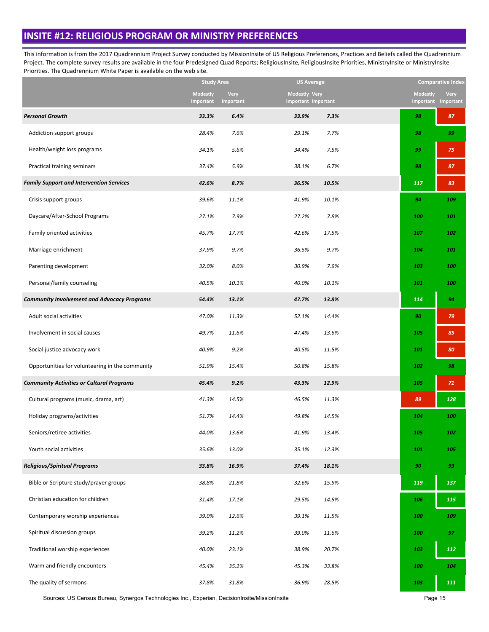### **INSITE #12: RELIGIOUS PROGRAM OR MINISTRY PREFERENCES**

This information is from the 2017 Quadrennium Project Survey conducted by MissionInsite of US Religious Preferences, Practices and Beliefs called the Quadrennium Project. The complete survey results are available in the four Predesigned Quad Reports; ReligiousInsite, ReligiousInsite Priorities, MinistryInsite or MinistryInsite Priorities. The Quadrennium White Paper is available on the web site.

|                                                    | <b>Study Area</b>            |                          | US Average                           |       |                 | <b>Comparative Index</b>                  |
|----------------------------------------------------|------------------------------|--------------------------|--------------------------------------|-------|-----------------|-------------------------------------------|
|                                                    | <b>Modestly</b><br>Important | <b>Very</b><br>Important | Modestly Very<br>Important Important |       | <b>Modestly</b> | <b>Very</b><br><b>Important Important</b> |
| <b>Personal Growth</b>                             | 33.3%                        | 6.4%                     | 33.9%                                | 7.3%  | 98              | 87                                        |
| Addiction support groups                           | 28.4%                        | 7.6%                     | 29.1%                                | 7.7%  | 98              | 99                                        |
| Health/weight loss programs                        | 34.1%                        | 5.6%                     | 34.4%                                | 7.5%  | 99              | 75                                        |
| Practical training seminars                        | 37.4%                        | 5.9%                     | 38.1%                                | 6.7%  | 98              | 87                                        |
| <b>Family Support and Intervention Services</b>    | 42.6%                        | 8.7%                     | 36.5%                                | 10.5% | 117             | 83                                        |
| Crisis support groups                              | 39.6%                        | 11.1%                    | 41.9%                                | 10.1% | 94              | 109                                       |
| Daycare/After-School Programs                      | 27.1%                        | 7.9%                     | 27.2%                                | 7.8%  | 100             | 101                                       |
| Family oriented activities                         | 45.7%                        | 17.7%                    | 42.6%                                | 17.5% | 107             | 102                                       |
| Marriage enrichment                                | 37.9%                        | 9.7%                     | 36.5%                                | 9.7%  | 104             | 101                                       |
| Parenting development                              | 32.0%                        | 8.0%                     | 30.9%                                | 7.9%  | 103             | 100                                       |
| Personal/family counseling                         | 40.5%                        | 10.1%                    | 40.0%                                | 10.1% | 101             | 100                                       |
| <b>Community Involvement and Advocacy Programs</b> | 54.4%                        | 13.1%                    | 47.7%                                | 13.8% | 114             | 94                                        |
| Adult social activities                            | 47.0%                        | 11.3%                    | 52.1%                                | 14.4% | 90              | 79                                        |
| Involvement in social causes                       | 49.7%                        | 11.6%                    | 47.4%                                | 13.6% | 105             | 85                                        |
| Social justice advocacy work                       | 40.9%                        | 9.2%                     | 40.5%                                | 11.5% | 101             | 80                                        |
| Opportunities for volunteering in the community    | 51.9%                        | 15.4%                    | 50.8%                                | 15.8% | 102             | 98                                        |
| <b>Community Activities or Cultural Programs</b>   | 45.4%                        | 9.2%                     | 43.3%                                | 12.9% | 105             | 71                                        |
| Cultural programs (music, drama, art)              | 41.3%                        | 14.5%                    | 46.5%                                | 11.3% | 89              | 128                                       |
| Holiday programs/activities                        | 51.7%                        | 14.4%                    | 49.8%                                | 14.5% | 104             | 100                                       |
| Seniors/retiree activities                         | 44.0%                        | 13.6%                    | 41.9%                                | 13.4% | 105             | 102                                       |
| Youth social activities                            | 35.6%                        | 13.0%                    | 35.1%                                | 12.3% | 101             | 105                                       |
| <b>Religious/Spiritual Programs</b>                | 33.8%                        | 16.9%                    | 37.4%                                | 18.1% | 90              | 93                                        |
| Bible or Scripture study/prayer groups             | 38.8%                        | 21.8%                    | 32.6%                                | 15.9% | 119             | 137                                       |
| Christian education for children                   | 31.4%                        | 17.1%                    | 29.5%                                | 14.9% | 106             | 115                                       |
| Contemporary worship experiences                   | 39.0%                        | 12.6%                    | 39.1%                                | 11.5% | 100             | 109                                       |
| Spiritual discussion groups                        | 39.2%                        | 11.2%                    | 39.0%                                | 11.6% | 100             | 97                                        |
| Traditional worship experiences                    | 40.0%                        | 23.1%                    | 38.9%                                | 20.7% | 103             | 112                                       |
| Warm and friendly encounters                       | 45.4%                        | 35.2%                    | 45.3%                                | 33.8% | 100             | 104                                       |
| The quality of sermons                             | 37.8%                        | 31.8%                    | 36.9%                                | 28.5% | 103             | $111\,$                                   |

Sources: US Census Bureau, Synergos Technologies Inc., Experian, DecisionInsite/MissionInsite **Page 15** Page 15